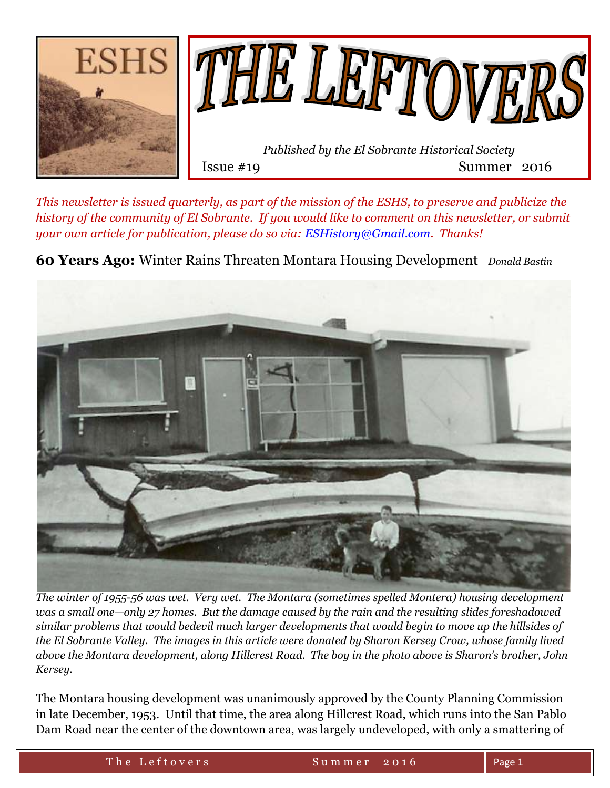

*This newsletter is issued quarterly, as part of the mission of the ESHS, to preserve and publicize the history of the community of El Sobrante. If you would like to comment on this newsletter, or submit your own article for publication, please do so via: [ESHistory@Gmail.com.](mailto:ESHistory@Gmail.com) Thanks!*

**60 Years Ago:** Winter Rains Threaten Montara Housing Development *Donald Bastin*



*The winter of 1955-56 was wet. Very wet. The Montara (sometimes spelled Montera) housing development was a small one—only 27 homes. But the damage caused by the rain and the resulting slides foreshadowed similar problems that would bedevil much larger developments that would begin to move up the hillsides of the El Sobrante Valley. The images in this article were donated by Sharon Kersey Crow, whose family lived above the Montara development, along Hillcrest Road. The boy in the photo above is Sharon's brother, John Kersey.*

The Montara housing development was unanimously approved by the County Planning Commission in late December, 1953. Until that time, the area along Hillcrest Road, which runs into the San Pablo Dam Road near the center of the downtown area, was largely undeveloped, with only a smattering of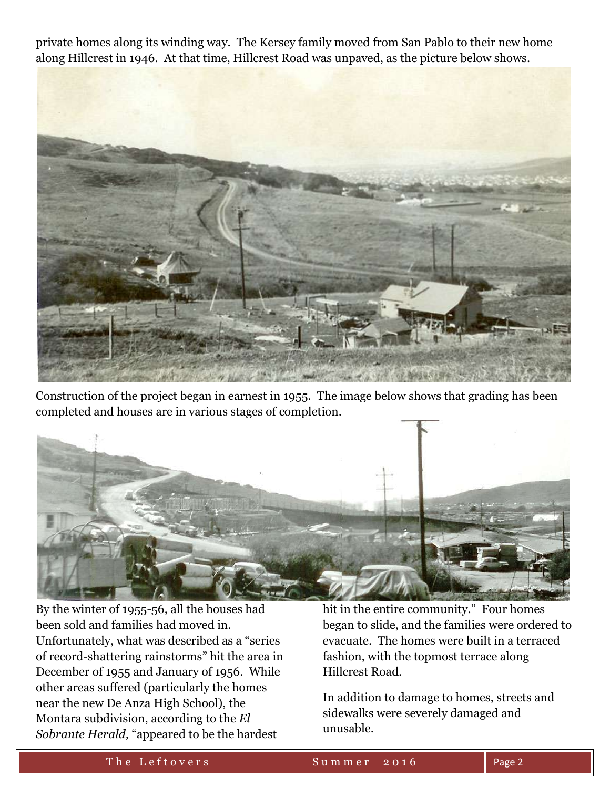private homes along its winding way. The Kersey family moved from San Pablo to their new home along Hillcrest in 1946. At that time, Hillcrest Road was unpaved, as the picture below shows.



Construction of the project began in earnest in 1955. The image below shows that grading has been completed and houses are in various stages of completion.



By the winter of 1955-56, all the houses had been sold and families had moved in. Unfortunately, what was described as a "series of record-shattering rainstorms" hit the area in December of 1955 and January of 1956. While other areas suffered (particularly the homes near the new De Anza High School), the Montara subdivision, according to the *El Sobrante Herald,* "appeared to be the hardest

hit in the entire community." Four homes began to slide, and the families were ordered to evacuate. The homes were built in a terraced fashion, with the topmost terrace along Hillcrest Road.

In addition to damage to homes, streets and sidewalks were severely damaged and unusable.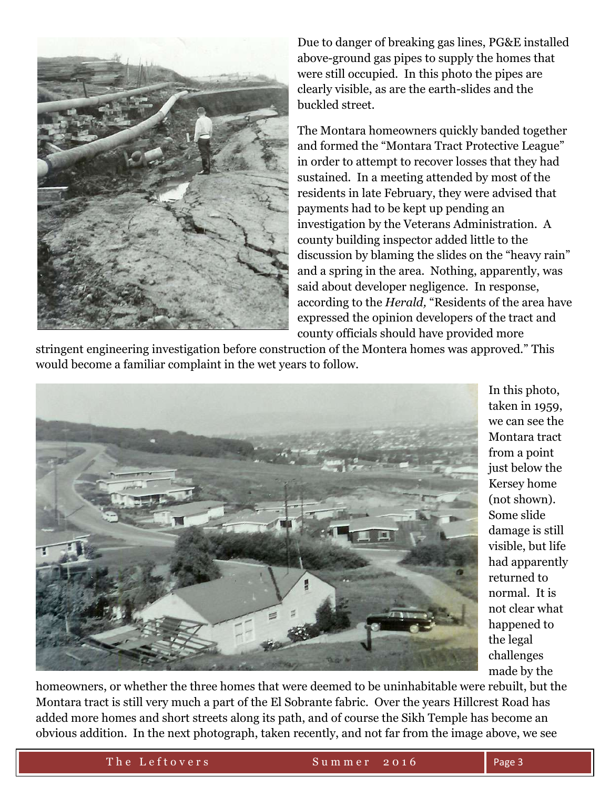

Due to danger of breaking gas lines, PG&E installed above-ground gas pipes to supply the homes that were still occupied. In this photo the pipes are clearly visible, as are the earth-slides and the buckled street.

The Montara homeowners quickly banded together and formed the "Montara Tract Protective League" in order to attempt to recover losses that they had sustained. In a meeting attended by most of the residents in late February, they were advised that payments had to be kept up pending an investigation by the Veterans Administration. A county building inspector added little to the discussion by blaming the slides on the "heavy rain" and a spring in the area. Nothing, apparently, was said about developer negligence. In response, according to the *Herald,* "Residents of the area have expressed the opinion developers of the tract and county officials should have provided more

stringent engineering investigation before construction of the Montera homes was approved." This would become a familiar complaint in the wet years to follow.



In this photo, taken in 1959, we can see the Montara tract from a point just below the Kersey home (not shown). Some slide damage is still visible, but life had apparently returned to normal. It is not clear what happened to the legal challenges made by the

homeowners, or whether the three homes that were deemed to be uninhabitable were rebuilt, but the Montara tract is still very much a part of the El Sobrante fabric. Over the years Hillcrest Road has added more homes and short streets along its path, and of course the Sikh Temple has become an obvious addition. In the next photograph, taken recently, and not far from the image above, we see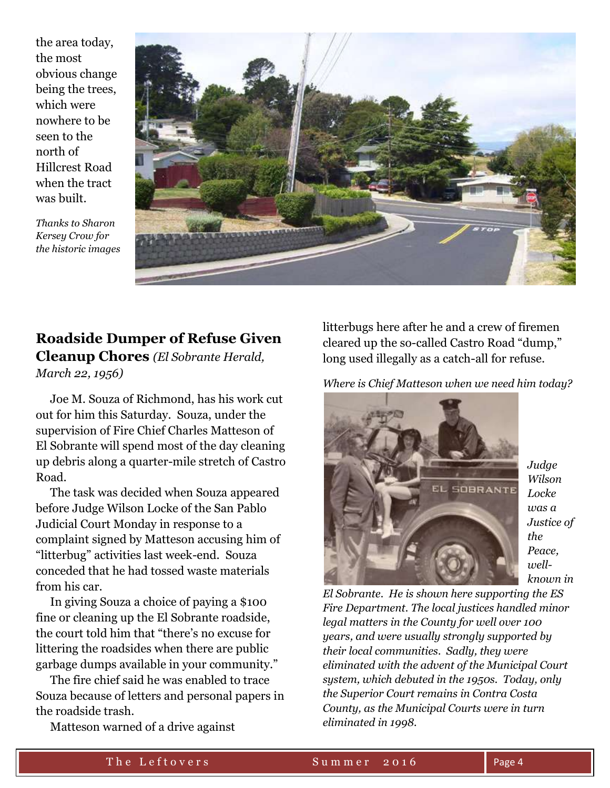the area today, the most obvious change being the trees, which were nowhere to be seen to the north of Hillcrest Road when the tract was built.

*Thanks to Sharon Kersey Crow for the historic images*



## **Roadside Dumper of Refuse Given Cleanup Chores** *(El Sobrante Herald, March 22, 1956)*

 Joe M. Souza of Richmond, has his work cut out for him this Saturday. Souza, under the supervision of Fire Chief Charles Matteson of El Sobrante will spend most of the day cleaning up debris along a quarter-mile stretch of Castro Road.

 The task was decided when Souza appeared before Judge Wilson Locke of the San Pablo Judicial Court Monday in response to a complaint signed by Matteson accusing him of "litterbug" activities last week-end. Souza conceded that he had tossed waste materials from his car.

 In giving Souza a choice of paying a \$100 fine or cleaning up the El Sobrante roadside, the court told him that "there's no excuse for littering the roadsides when there are public garbage dumps available in your community."

 The fire chief said he was enabled to trace Souza because of letters and personal papers in the roadside trash.

Matteson warned of a drive against

litterbugs here after he and a crew of firemen cleared up the so-called Castro Road "dump," long used illegally as a catch-all for refuse.

*Where is Chief Matteson when we need him today?*



*Judge Wilson Locke was a Justice of the Peace, wellknown in* 

*El Sobrante. He is shown here supporting the ES Fire Department. The local justices handled minor legal matters in the County for well over 100 years, and were usually strongly supported by their local communities. Sadly, they were eliminated with the advent of the Municipal Court system, which debuted in the 1950s. Today, only the Superior Court remains in Contra Costa County, as the Municipal Courts were in turn eliminated in 1998.*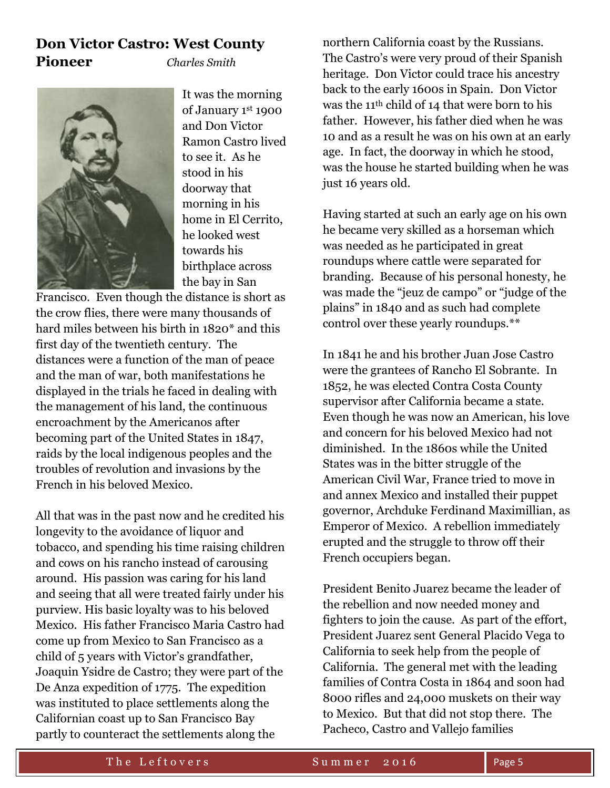## **Don Victor Castro: West County Pioneer** *Charles Smith*



It was the morning of January 1st 1900 and Don Victor Ramon Castro lived to see it. As he stood in his doorway that morning in his home in El Cerrito, he looked west towards his birthplace across the bay in San

Francisco. Even though the distance is short as the crow flies, there were many thousands of hard miles between his birth in 1820\* and this first day of the twentieth century. The distances were a function of the man of peace and the man of war, both manifestations he displayed in the trials he faced in dealing with the management of his land, the continuous encroachment by the Americanos after becoming part of the United States in 1847, raids by the local indigenous peoples and the troubles of revolution and invasions by the French in his beloved Mexico.

All that was in the past now and he credited his longevity to the avoidance of liquor and tobacco, and spending his time raising children and cows on his rancho instead of carousing around. His passion was caring for his land and seeing that all were treated fairly under his purview. His basic loyalty was to his beloved Mexico. His father Francisco Maria Castro had come up from Mexico to San Francisco as a child of 5 years with Victor's grandfather, Joaquin Ysidre de Castro; they were part of the De Anza expedition of 1775. The expedition was instituted to place settlements along the Californian coast up to San Francisco Bay partly to counteract the settlements along the

northern California coast by the Russians. The Castro's were very proud of their Spanish heritage. Don Victor could trace his ancestry back to the early 1600s in Spain. Don Victor was the 11th child of 14 that were born to his father. However, his father died when he was 10 and as a result he was on his own at an early age. In fact, the doorway in which he stood, was the house he started building when he was just 16 years old.

Having started at such an early age on his own he became very skilled as a horseman which was needed as he participated in great roundups where cattle were separated for branding. Because of his personal honesty, he was made the "jeuz de campo" or "judge of the plains" in 1840 and as such had complete control over these yearly roundups.\*\*

In 1841 he and his brother Juan Jose Castro were the grantees of Rancho El Sobrante. In 1852, he was elected Contra Costa County supervisor after California became a state. Even though he was now an American, his love and concern for his beloved Mexico had not diminished. In the 1860s while the United States was in the bitter struggle of the American Civil War, France tried to move in and annex Mexico and installed their puppet governor, Archduke Ferdinand Maximillian, as Emperor of Mexico. A rebellion immediately erupted and the struggle to throw off their French occupiers began.

President Benito Juarez became the leader of the rebellion and now needed money and fighters to join the cause. As part of the effort, President Juarez sent General Placido Vega to California to seek help from the people of California. The general met with the leading families of Contra Costa in 1864 and soon had 8000 rifles and 24,000 muskets on their way to Mexico. But that did not stop there. The Pacheco, Castro and Vallejo families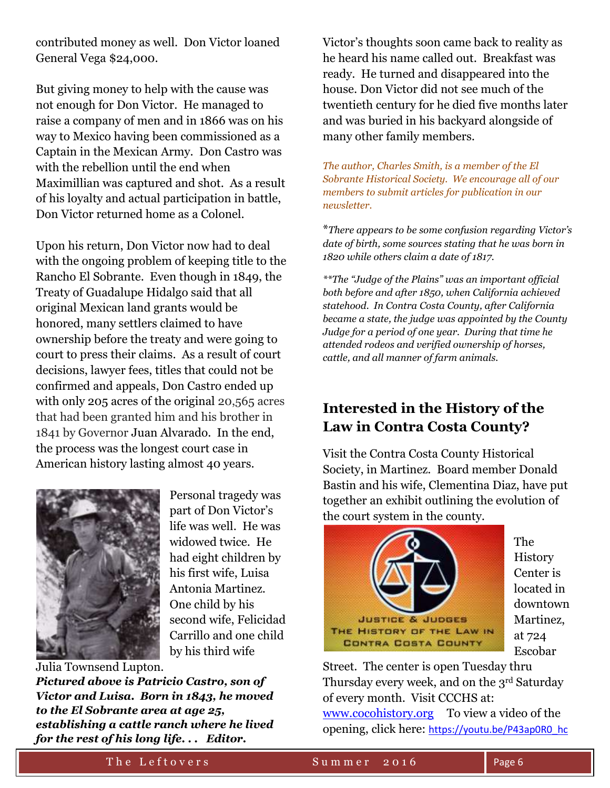contributed money as well. Don Victor loaned General Vega \$24,000.

But giving money to help with the cause was not enough for Don Victor. He managed to raise a company of men and in 1866 was on his way to Mexico having been commissioned as a Captain in the Mexican Army. Don Castro was with the rebellion until the end when Maximillian was captured and shot. As a result of his loyalty and actual participation in battle, Don Victor returned home as a Colonel.

Upon his return, Don Victor now had to deal with the ongoing problem of keeping title to the Rancho El Sobrante. Even though in 1849, the Treaty of Guadalupe Hidalgo said that all original Mexican land grants would be honored, many settlers claimed to have ownership before the treaty and were going to court to press their claims. As a result of court decisions, lawyer fees, titles that could not be confirmed and appeals, Don Castro ended up with only 205 acres of the original 20,565 acres that had been granted him and his brother in 1841 by Governor Juan Alvarado. In the end, the process was the longest court case in American history lasting almost 40 years.



Personal tragedy was part of Don Victor's life was well. He was widowed twice. He had eight children by his first wife, Luisa Antonia Martinez. One child by his second wife, Felicidad Carrillo and one child by his third wife

Julia Townsend Lupton*.* 

*Pictured above is Patricio Castro, son of Victor and Luisa. Born in 1843, he moved to the El Sobrante area at age 25, establishing a cattle ranch where he lived for the rest of his long life. . . Editor.*

Victor's thoughts soon came back to reality as he heard his name called out. Breakfast was ready. He turned and disappeared into the house. Don Victor did not see much of the twentieth century for he died five months later and was buried in his backyard alongside of many other family members.

*The author, Charles Smith, is a member of the El Sobrante Historical Society. We encourage all of our members to submit articles for publication in our newsletter.* 

\**There appears to be some confusion regarding Victor's date of birth, some sources stating that he was born in 1820 while others claim a date of 1817.*

*\*\*The "Judge of the Plains" was an important official both before and after 1850, when California achieved statehood. In Contra Costa County, after California became a state, the judge was appointed by the County Judge for a period of one year. During that time he attended rodeos and verified ownership of horses, cattle, and all manner of farm animals.*

# **Interested in the History of the Law in Contra Costa County?**

Visit the Contra Costa County Historical Society, in Martinez. Board member Donald Bastin and his wife, Clementina Diaz, have put together an exhibit outlining the evolution of the court system in the county.



The **History** Center is located in downtown Martinez, at 724 Escobar

Street. The center is open Tuesday thru Thursday every week, and on the 3rd Saturday of every month. Visit CCCHS at: <www.cocohistory.org> To view a video of the

opening, click here: [https://youtu.be/P43ap0R0\\_hc](https://youtu.be/P43ap0R0_hc)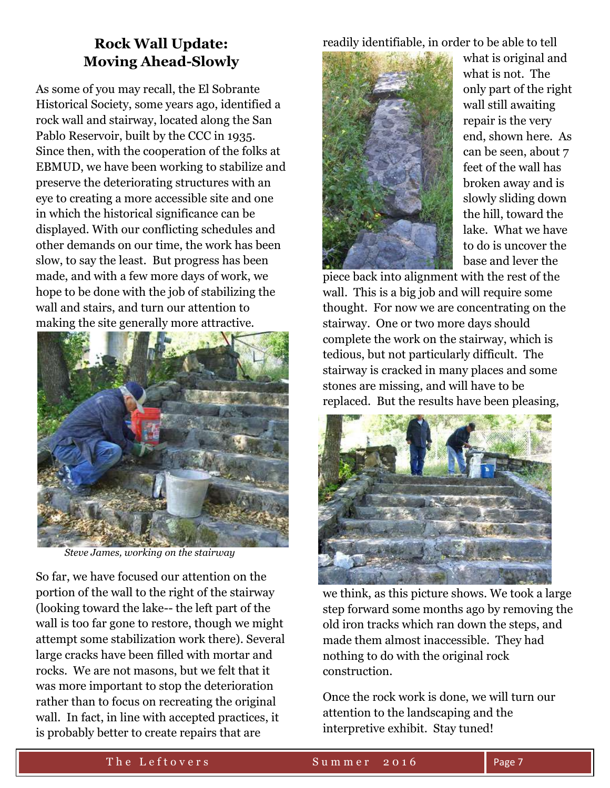# **Rock Wall Update: Moving Ahead-Slowly**

As some of you may recall, the El Sobrante Historical Society, some years ago, identified a rock wall and stairway, located along the San Pablo Reservoir, built by the CCC in 1935. Since then, with the cooperation of the folks at EBMUD, we have been working to stabilize and preserve the deteriorating structures with an eye to creating a more accessible site and one in which the historical significance can be displayed. With our conflicting schedules and other demands on our time, the work has been slow, to say the least. But progress has been made, and with a few more days of work, we hope to be done with the job of stabilizing the wall and stairs, and turn our attention to making the site generally more attractive.



*Steve James, working on the stairway*

So far, we have focused our attention on the portion of the wall to the right of the stairway (looking toward the lake-- the left part of the wall is too far gone to restore, though we might attempt some stabilization work there). Several large cracks have been filled with mortar and rocks. We are not masons, but we felt that it was more important to stop the deterioration rather than to focus on recreating the original wall. In fact, in line with accepted practices, it is probably better to create repairs that are

readily identifiable, in order to be able to tell



what is original and what is not. The only part of the right wall still awaiting repair is the very end, shown here. As can be seen, about 7 feet of the wall has broken away and is slowly sliding down the hill, toward the lake. What we have to do is uncover the base and lever the

piece back into alignment with the rest of the wall. This is a big job and will require some thought. For now we are concentrating on the stairway. One or two more days should complete the work on the stairway, which is tedious, but not particularly difficult. The stairway is cracked in many places and some stones are missing, and will have to be replaced. But the results have been pleasing,



we think, as this picture shows. We took a large step forward some months ago by removing the old iron tracks which ran down the steps, and made them almost inaccessible. They had nothing to do with the original rock construction.

Once the rock work is done, we will turn our attention to the landscaping and the interpretive exhibit. Stay tuned!